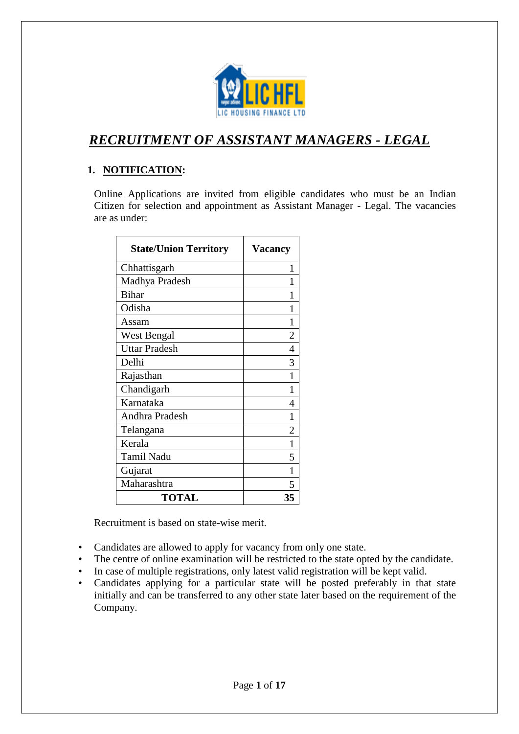

# *RECRUITMENT OF ASSISTANT MANAGERS - LEGAL*

### **1. NOTIFICATION:**

Online Applications are invited from eligible candidates who must be an Indian Citizen for selection and appointment as Assistant Manager - Legal. The vacancies are as under:

| <b>State/Union Territory</b> | <b>Vacancy</b> |
|------------------------------|----------------|
| Chhattisgarh                 | 1              |
| Madhya Pradesh               | 1              |
| <b>Bihar</b>                 | 1              |
| Odisha                       | 1              |
| Assam                        | 1              |
| West Bengal                  | 2              |
| <b>Uttar Pradesh</b>         | 4              |
| Delhi                        | 3              |
| Rajasthan                    | 1              |
| Chandigarh                   | 1              |
| Karnataka                    | 4              |
| Andhra Pradesh               | 1              |
| Telangana                    | $\overline{2}$ |
| Kerala                       | 1              |
| <b>Tamil Nadu</b>            | 5              |
| Gujarat                      | 1              |
| Maharashtra                  | 5              |
| <b>TOTAL</b>                 | 35             |

Recruitment is based on state-wise merit.

- Candidates are allowed to apply for vacancy from only one state.
- The centre of online examination will be restricted to the state opted by the candidate.
- In case of multiple registrations, only latest valid registration will be kept valid.
- Candidates applying for a particular state will be posted preferably in that state initially and can be transferred to any other state later based on the requirement of the Company.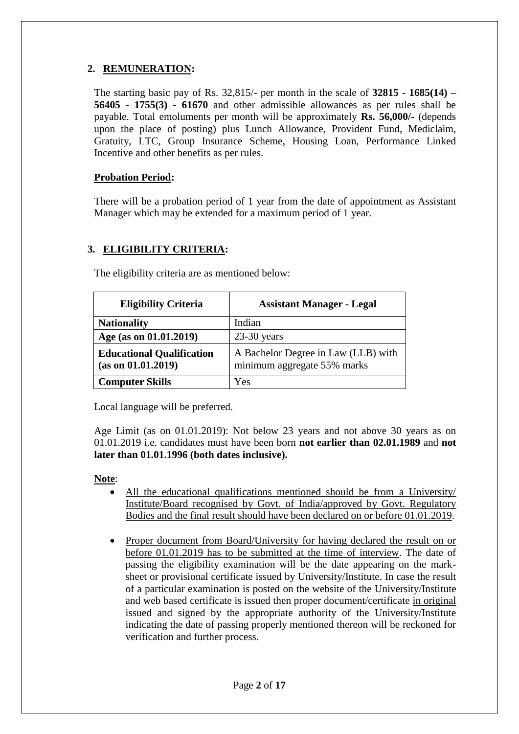# **2. REMUNERATION:**

The starting basic pay of Rs. 32,815/- per month in the scale of **32815 - 1685(14) – 56405 - 1755(3) - 61670** and other admissible allowances as per rules shall be payable. Total emoluments per month will be approximately **Rs. 56,000/-** (depends upon the place of posting) plus Lunch Allowance, Provident Fund, Mediclaim, Gratuity, LTC, Group Insurance Scheme, Housing Loan, Performance Linked Incentive and other benefits as per rules.

### **Probation Period:**

There will be a probation period of 1 year from the date of appointment as Assistant Manager which may be extended for a maximum period of 1 year.

### **3. ELIGIBILITY CRITERIA:**

| <b>Eligibility Criteria</b>                            | <b>Assistant Manager - Legal</b>                                   |
|--------------------------------------------------------|--------------------------------------------------------------------|
| <b>Nationality</b>                                     | Indian                                                             |
| Age (as on 01.01.2019)                                 | $23-30$ years                                                      |
| <b>Educational Qualification</b><br>(as on 01.01.2019) | A Bachelor Degree in Law (LLB) with<br>minimum aggregate 55% marks |
| <b>Computer Skills</b>                                 | Yes                                                                |

The eligibility criteria are as mentioned below:

Local language will be preferred.

Age Limit (as on 01.01.2019): Not below 23 years and not above 30 years as on 01.01.2019 i.e. candidates must have been born **not earlier than 02.01.1989** and **not later than 01.01.1996 (both dates inclusive).**

**Note**:

- All the educational qualifications mentioned should be from a University/ Institute/Board recognised by Govt. of India/approved by Govt. Regulatory Bodies and the final result should have been declared on or before 01.01.2019.
- Proper document from Board/University for having declared the result on or before 01.01.2019 has to be submitted at the time of interview. The date of passing the eligibility examination will be the date appearing on the marksheet or provisional certificate issued by University/Institute. In case the result of a particular examination is posted on the website of the University/Institute and web based certificate is issued then proper document/certificate in original issued and signed by the appropriate authority of the University/Institute indicating the date of passing properly mentioned thereon will be reckoned for verification and further process.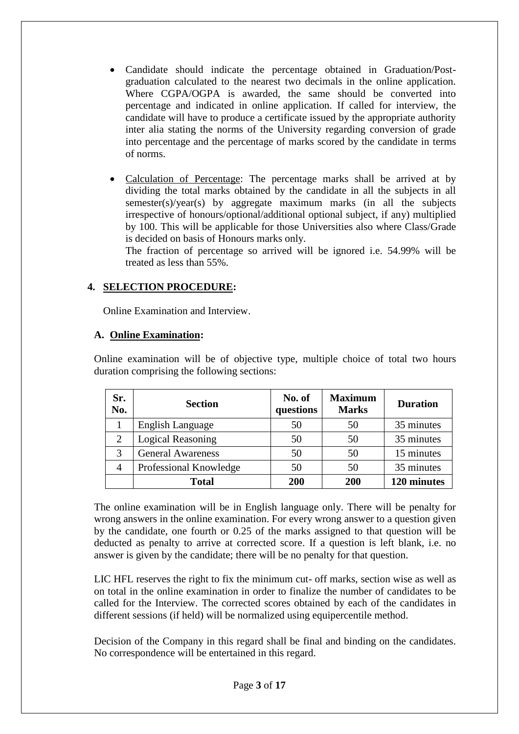- Candidate should indicate the percentage obtained in Graduation/Postgraduation calculated to the nearest two decimals in the online application. Where CGPA/OGPA is awarded, the same should be converted into percentage and indicated in online application. If called for interview, the candidate will have to produce a certificate issued by the appropriate authority inter alia stating the norms of the University regarding conversion of grade into percentage and the percentage of marks scored by the candidate in terms of norms.
- Calculation of Percentage: The percentage marks shall be arrived at by dividing the total marks obtained by the candidate in all the subjects in all semester(s)/year(s) by aggregate maximum marks (in all the subjects irrespective of honours/optional/additional optional subject, if any) multiplied by 100. This will be applicable for those Universities also where Class/Grade is decided on basis of Honours marks only.

The fraction of percentage so arrived will be ignored i.e. 54.99% will be treated as less than 55%.

### **4. SELECTION PROCEDURE:**

Online Examination and Interview.

#### **A. Online Examination:**

Online examination will be of objective type, multiple choice of total two hours duration comprising the following sections:

| Sr.<br>No. | <b>Section</b>           | No. of<br>questions | <b>Maximum</b><br><b>Marks</b> | <b>Duration</b> |
|------------|--------------------------|---------------------|--------------------------------|-----------------|
|            | English Language         | 50                  | 50                             | 35 minutes      |
| 2          | <b>Logical Reasoning</b> | 50                  | 50                             | 35 minutes      |
| 3          | <b>General Awareness</b> | 50                  | 50                             | 15 minutes      |
| 4          | Professional Knowledge   | 50                  | 50                             | 35 minutes      |
|            | <b>Total</b>             | 200                 | 200                            | 120 minutes     |

The online examination will be in English language only. There will be penalty for wrong answers in the online examination. For every wrong answer to a question given by the candidate, one fourth or 0.25 of the marks assigned to that question will be deducted as penalty to arrive at corrected score. If a question is left blank, i.e. no answer is given by the candidate; there will be no penalty for that question.

LIC HFL reserves the right to fix the minimum cut- off marks, section wise as well as on total in the online examination in order to finalize the number of candidates to be called for the Interview. The corrected scores obtained by each of the candidates in different sessions (if held) will be normalized using equipercentile method.

Decision of the Company in this regard shall be final and binding on the candidates. No correspondence will be entertained in this regard.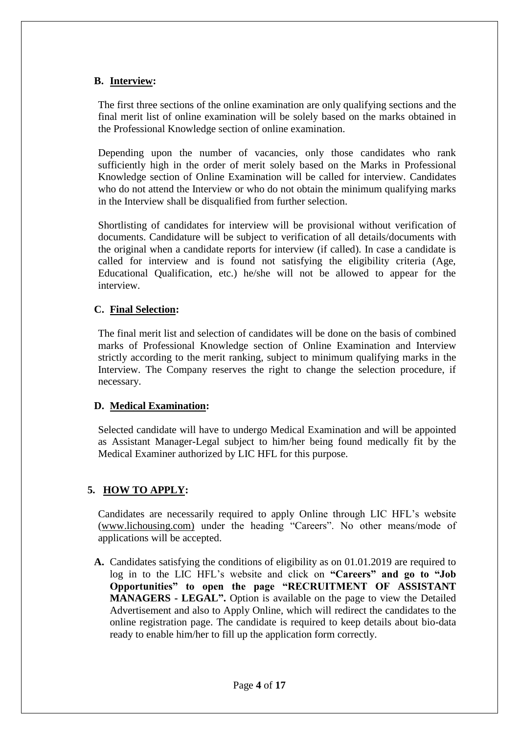#### **B. Interview:**

The first three sections of the online examination are only qualifying sections and the final merit list of online examination will be solely based on the marks obtained in the Professional Knowledge section of online examination.

Depending upon the number of vacancies, only those candidates who rank sufficiently high in the order of merit solely based on the Marks in Professional Knowledge section of Online Examination will be called for interview. Candidates who do not attend the Interview or who do not obtain the minimum qualifying marks in the Interview shall be disqualified from further selection.

Shortlisting of candidates for interview will be provisional without verification of documents. Candidature will be subject to verification of all details/documents with the original when a candidate reports for interview (if called). In case a candidate is called for interview and is found not satisfying the eligibility criteria (Age, Educational Qualification, etc.) he/she will not be allowed to appear for the interview.

#### **C. Final Selection:**

The final merit list and selection of candidates will be done on the basis of combined marks of Professional Knowledge section of Online Examination and Interview strictly according to the merit ranking, subject to minimum qualifying marks in the Interview. The Company reserves the right to change the selection procedure, if necessary.

#### **D. Medical Examination:**

Selected candidate will have to undergo Medical Examination and will be appointed as Assistant Manager-Legal subject to him/her being found medically fit by the Medical Examiner authorized by LIC HFL for this purpose.

#### **5. HOW TO APPLY:**

Candidates are necessarily required to apply Online through LIC HFL's website (www.lichousing.com) under the heading "Careers". No other means/mode of applications will be accepted.

**A.** Candidates satisfying the conditions of eligibility as on 01.01.2019 are required to log in to the LIC HFL's website and click on **"Careers" and go to "Job Opportunities" to open the page "RECRUITMENT OF ASSISTANT MANAGERS - LEGAL".** Option is available on the page to view the Detailed Advertisement and also to Apply Online, which will redirect the candidates to the online registration page. The candidate is required to keep details about bio-data ready to enable him/her to fill up the application form correctly.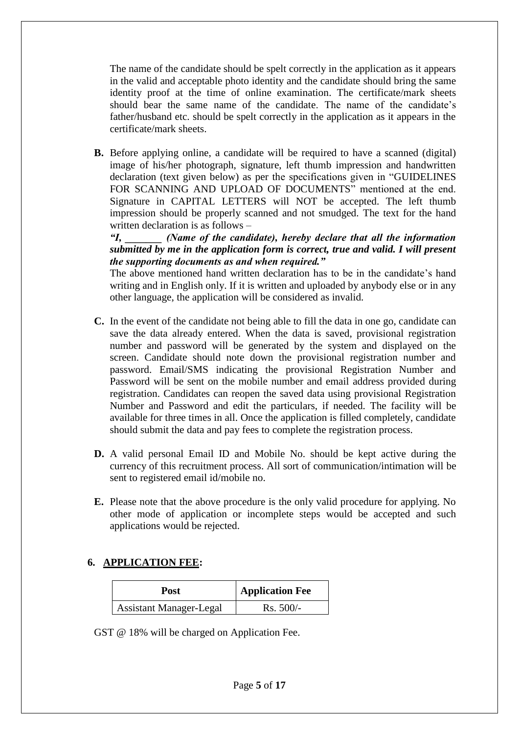The name of the candidate should be spelt correctly in the application as it appears in the valid and acceptable photo identity and the candidate should bring the same identity proof at the time of online examination. The certificate/mark sheets should bear the same name of the candidate. The name of the candidate's father/husband etc. should be spelt correctly in the application as it appears in the certificate/mark sheets.

**B.** Before applying online, a candidate will be required to have a scanned (digital) image of his/her photograph, signature, left thumb impression and handwritten declaration (text given below) as per the specifications given in "GUIDELINES FOR SCANNING AND UPLOAD OF DOCUMENTS" mentioned at the end. Signature in CAPITAL LETTERS will NOT be accepted. The left thumb impression should be properly scanned and not smudged. The text for the hand written declaration is as follows –

*"I, \_\_\_\_\_\_\_ (Name of the candidate), hereby declare that all the information submitted by me in the application form is correct, true and valid. I will present the supporting documents as and when required."* 

The above mentioned hand written declaration has to be in the candidate's hand writing and in English only. If it is written and uploaded by anybody else or in any other language, the application will be considered as invalid.

- **C.** In the event of the candidate not being able to fill the data in one go, candidate can save the data already entered. When the data is saved, provisional registration number and password will be generated by the system and displayed on the screen. Candidate should note down the provisional registration number and password. Email/SMS indicating the provisional Registration Number and Password will be sent on the mobile number and email address provided during registration. Candidates can reopen the saved data using provisional Registration Number and Password and edit the particulars, if needed. The facility will be available for three times in all. Once the application is filled completely, candidate should submit the data and pay fees to complete the registration process.
- **D.** A valid personal Email ID and Mobile No. should be kept active during the currency of this recruitment process. All sort of communication/intimation will be sent to registered email id/mobile no.
- **E.** Please note that the above procedure is the only valid procedure for applying. No other mode of application or incomplete steps would be accepted and such applications would be rejected.

#### **6. APPLICATION FEE:**

| Post                           | <b>Application Fee</b> |
|--------------------------------|------------------------|
| <b>Assistant Manager-Legal</b> | $Rs. 500/-$            |

GST @ 18% will be charged on Application Fee.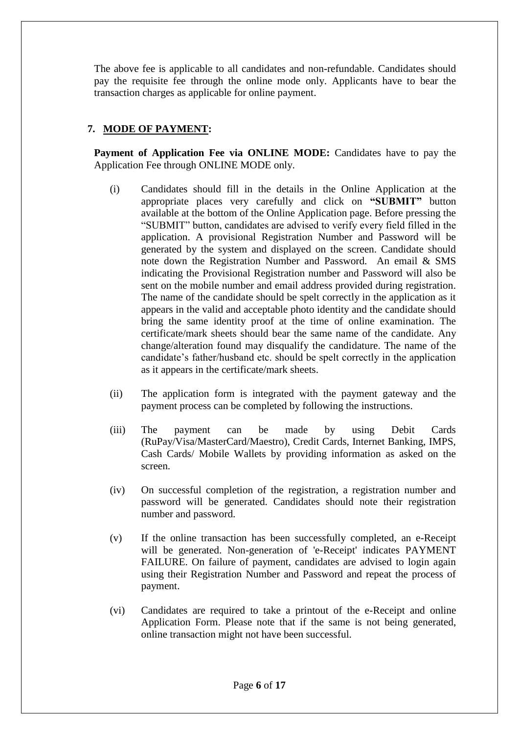The above fee is applicable to all candidates and non-refundable. Candidates should pay the requisite fee through the online mode only. Applicants have to bear the transaction charges as applicable for online payment.

# **7. MODE OF PAYMENT:**

**Payment of Application Fee via ONLINE MODE:** Candidates have to pay the Application Fee through ONLINE MODE only.

- (i) Candidates should fill in the details in the Online Application at the appropriate places very carefully and click on **"SUBMIT"** button available at the bottom of the Online Application page. Before pressing the "SUBMIT" button, candidates are advised to verify every field filled in the application. A provisional Registration Number and Password will be generated by the system and displayed on the screen. Candidate should note down the Registration Number and Password. An email & SMS indicating the Provisional Registration number and Password will also be sent on the mobile number and email address provided during registration. The name of the candidate should be spelt correctly in the application as it appears in the valid and acceptable photo identity and the candidate should bring the same identity proof at the time of online examination. The certificate/mark sheets should bear the same name of the candidate. Any change/alteration found may disqualify the candidature. The name of the candidate's father/husband etc. should be spelt correctly in the application as it appears in the certificate/mark sheets.
- (ii) The application form is integrated with the payment gateway and the payment process can be completed by following the instructions.
- (iii) The payment can be made by using Debit Cards (RuPay/Visa/MasterCard/Maestro), Credit Cards, Internet Banking, IMPS, Cash Cards/ Mobile Wallets by providing information as asked on the screen.
- (iv) On successful completion of the registration, a registration number and password will be generated. Candidates should note their registration number and password.
- (v) If the online transaction has been successfully completed, an e-Receipt will be generated. Non-generation of 'e-Receipt' indicates PAYMENT FAILURE. On failure of payment, candidates are advised to login again using their Registration Number and Password and repeat the process of payment.
- (vi) Candidates are required to take a printout of the e-Receipt and online Application Form. Please note that if the same is not being generated, online transaction might not have been successful.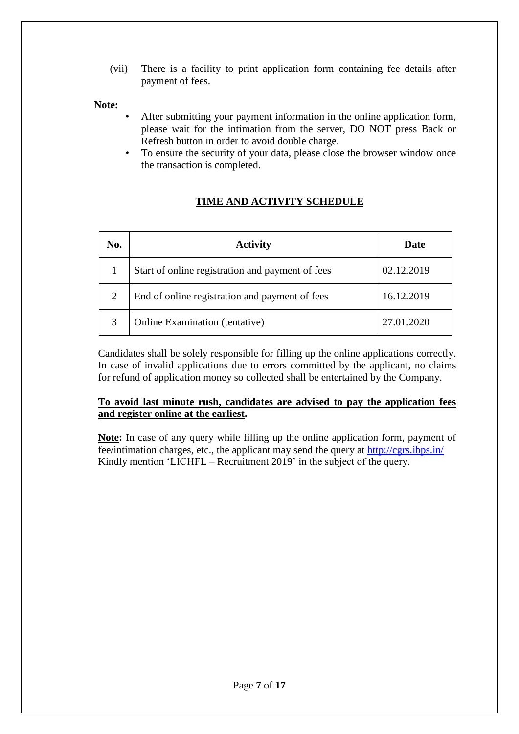(vii) There is a facility to print application form containing fee details after payment of fees.

#### **Note:**

- After submitting your payment information in the online application form, please wait for the intimation from the server, DO NOT press Back or Refresh button in order to avoid double charge.
- To ensure the security of your data, please close the browser window once the transaction is completed.

# **TIME AND ACTIVITY SCHEDULE**

| No. | <b>Activity</b>                                  | Date       |
|-----|--------------------------------------------------|------------|
|     | Start of online registration and payment of fees | 02.12.2019 |
| 2   | End of online registration and payment of fees   | 16.12.2019 |
| 3   | <b>Online Examination (tentative)</b>            | 27.01.2020 |

Candidates shall be solely responsible for filling up the online applications correctly. In case of invalid applications due to errors committed by the applicant, no claims for refund of application money so collected shall be entertained by the Company.

#### **To avoid last minute rush, candidates are advised to pay the application fees and register online at the earliest.**

**Note:** In case of any query while filling up the online application form, payment of fee/intimation charges, etc., the applicant may send the query at<http://cgrs.ibps.in/> Kindly mention 'LICHFL – Recruitment 2019' in the subject of the query.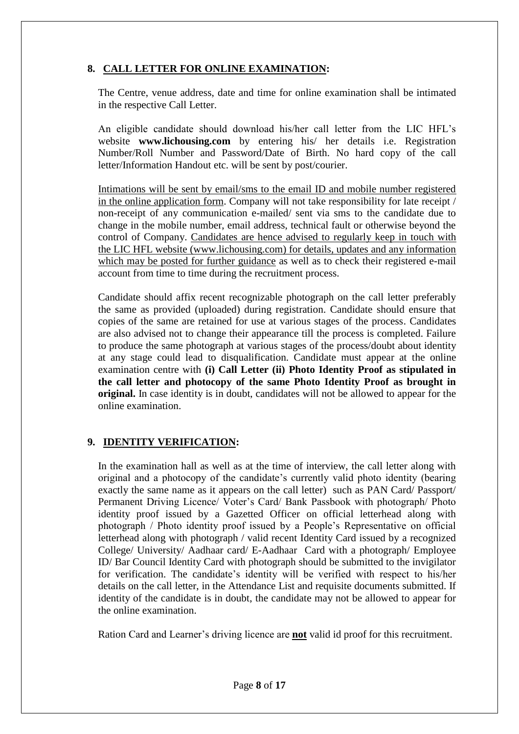# **8. CALL LETTER FOR ONLINE EXAMINATION:**

The Centre, venue address, date and time for online examination shall be intimated in the respective Call Letter.

An eligible candidate should download his/her call letter from the LIC HFL's website **www.lichousing.com** by entering his/ her details i.e. Registration Number/Roll Number and Password/Date of Birth. No hard copy of the call letter/Information Handout etc. will be sent by post/courier.

Intimations will be sent by email/sms to the email ID and mobile number registered in the online application form. Company will not take responsibility for late receipt / non-receipt of any communication e-mailed/ sent via sms to the candidate due to change in the mobile number, email address, technical fault or otherwise beyond the control of Company. Candidates are hence advised to regularly keep in touch with the LIC HFL website (www.lichousing.com) for details, updates and any information which may be posted for further guidance as well as to check their registered e-mail account from time to time during the recruitment process.

Candidate should affix recent recognizable photograph on the call letter preferably the same as provided (uploaded) during registration. Candidate should ensure that copies of the same are retained for use at various stages of the process. Candidates are also advised not to change their appearance till the process is completed. Failure to produce the same photograph at various stages of the process/doubt about identity at any stage could lead to disqualification. Candidate must appear at the online examination centre with **(i) Call Letter (ii) Photo Identity Proof as stipulated in the call letter and photocopy of the same Photo Identity Proof as brought in original.** In case identity is in doubt, candidates will not be allowed to appear for the online examination.

### **9. IDENTITY VERIFICATION:**

In the examination hall as well as at the time of interview, the call letter along with original and a photocopy of the candidate's currently valid photo identity (bearing exactly the same name as it appears on the call letter) such as PAN Card/ Passport/ Permanent Driving Licence/ Voter's Card/ Bank Passbook with photograph/ Photo identity proof issued by a Gazetted Officer on official letterhead along with photograph / Photo identity proof issued by a People's Representative on official letterhead along with photograph / valid recent Identity Card issued by a recognized College/ University/ Aadhaar card/ E-Aadhaar Card with a photograph/ Employee ID/ Bar Council Identity Card with photograph should be submitted to the invigilator for verification. The candidate's identity will be verified with respect to his/her details on the call letter, in the Attendance List and requisite documents submitted. If identity of the candidate is in doubt, the candidate may not be allowed to appear for the online examination.

Ration Card and Learner's driving licence are **not** valid id proof for this recruitment.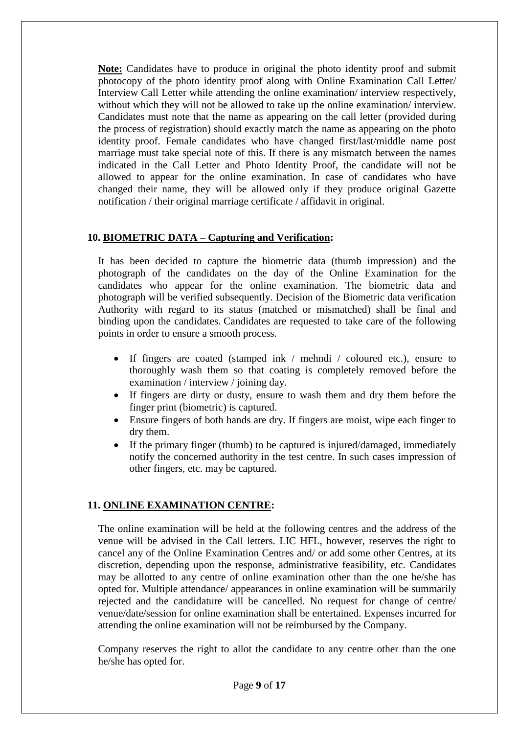**Note:** Candidates have to produce in original the photo identity proof and submit photocopy of the photo identity proof along with Online Examination Call Letter/ Interview Call Letter while attending the online examination/ interview respectively, without which they will not be allowed to take up the online examination/ interview. Candidates must note that the name as appearing on the call letter (provided during the process of registration) should exactly match the name as appearing on the photo identity proof. Female candidates who have changed first/last/middle name post marriage must take special note of this. If there is any mismatch between the names indicated in the Call Letter and Photo Identity Proof, the candidate will not be allowed to appear for the online examination. In case of candidates who have changed their name, they will be allowed only if they produce original Gazette notification / their original marriage certificate / affidavit in original.

#### **10. BIOMETRIC DATA – Capturing and Verification:**

It has been decided to capture the biometric data (thumb impression) and the photograph of the candidates on the day of the Online Examination for the candidates who appear for the online examination. The biometric data and photograph will be verified subsequently. Decision of the Biometric data verification Authority with regard to its status (matched or mismatched) shall be final and binding upon the candidates. Candidates are requested to take care of the following points in order to ensure a smooth process.

- If fingers are coated (stamped ink / mehndi / coloured etc.), ensure to thoroughly wash them so that coating is completely removed before the examination / interview / joining day.
- If fingers are dirty or dusty, ensure to wash them and dry them before the finger print (biometric) is captured.
- Ensure fingers of both hands are dry. If fingers are moist, wipe each finger to dry them.
- If the primary finger (thumb) to be captured is injured/damaged, immediately notify the concerned authority in the test centre. In such cases impression of other fingers, etc. may be captured.

### **11. ONLINE EXAMINATION CENTRE:**

The online examination will be held at the following centres and the address of the venue will be advised in the Call letters. LIC HFL, however, reserves the right to cancel any of the Online Examination Centres and/ or add some other Centres, at its discretion, depending upon the response, administrative feasibility, etc. Candidates may be allotted to any centre of online examination other than the one he/she has opted for. Multiple attendance/ appearances in online examination will be summarily rejected and the candidature will be cancelled. No request for change of centre/ venue/date/session for online examination shall be entertained. Expenses incurred for attending the online examination will not be reimbursed by the Company.

Company reserves the right to allot the candidate to any centre other than the one he/she has opted for.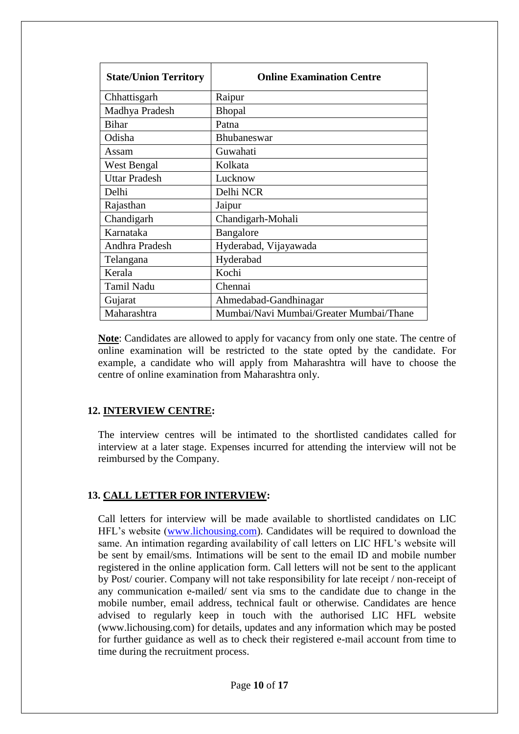| <b>State/Union Territory</b> | <b>Online Examination Centre</b>        |
|------------------------------|-----------------------------------------|
| Chhattisgarh                 | Raipur                                  |
| Madhya Pradesh               | <b>Bhopal</b>                           |
| <b>Bihar</b>                 | Patna                                   |
| Odisha                       | Bhubaneswar                             |
| Assam                        | Guwahati                                |
| West Bengal                  | Kolkata                                 |
| <b>Uttar Pradesh</b>         | Lucknow                                 |
| Delhi                        | Delhi NCR                               |
| Rajasthan                    | Jaipur                                  |
| Chandigarh                   | Chandigarh-Mohali                       |
| Karnataka                    | Bangalore                               |
| Andhra Pradesh               | Hyderabad, Vijayawada                   |
| Telangana                    | Hyderabad                               |
| Kerala                       | Kochi                                   |
| <b>Tamil Nadu</b>            | Chennai                                 |
| Gujarat                      | Ahmedabad-Gandhinagar                   |
| Maharashtra                  | Mumbai/Navi Mumbai/Greater Mumbai/Thane |

**Note**: Candidates are allowed to apply for vacancy from only one state. The centre of online examination will be restricted to the state opted by the candidate. For example, a candidate who will apply from Maharashtra will have to choose the centre of online examination from Maharashtra only.

#### **12. INTERVIEW CENTRE:**

The interview centres will be intimated to the shortlisted candidates called for interview at a later stage. Expenses incurred for attending the interview will not be reimbursed by the Company.

#### **13. CALL LETTER FOR INTERVIEW:**

Call letters for interview will be made available to shortlisted candidates on LIC HFL's website [\(www.lichousing.com\)](http://www.lichousing.com/). Candidates will be required to download the same. An intimation regarding availability of call letters on LIC HFL's website will be sent by email/sms. Intimations will be sent to the email ID and mobile number registered in the online application form. Call letters will not be sent to the applicant by Post/ courier. Company will not take responsibility for late receipt / non-receipt of any communication e-mailed/ sent via sms to the candidate due to change in the mobile number, email address, technical fault or otherwise. Candidates are hence advised to regularly keep in touch with the authorised LIC HFL website (www.lichousing.com) for details, updates and any information which may be posted for further guidance as well as to check their registered e-mail account from time to time during the recruitment process.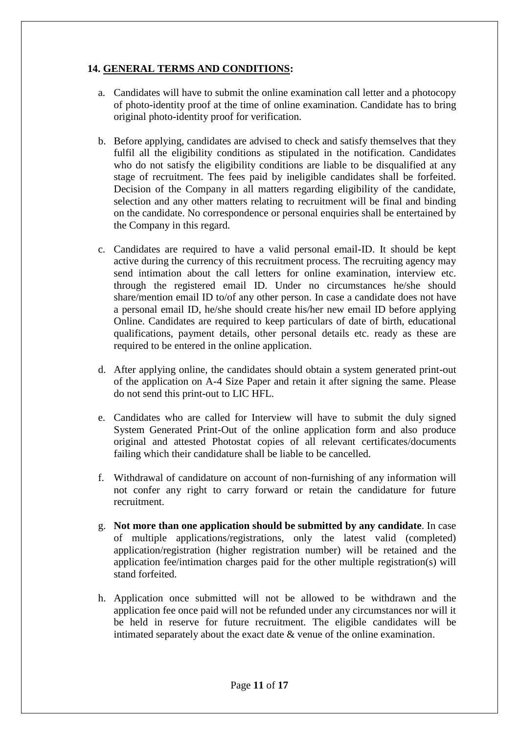### **14. GENERAL TERMS AND CONDITIONS:**

- a. Candidates will have to submit the online examination call letter and a photocopy of photo-identity proof at the time of online examination. Candidate has to bring original photo-identity proof for verification.
- b. Before applying, candidates are advised to check and satisfy themselves that they fulfil all the eligibility conditions as stipulated in the notification. Candidates who do not satisfy the eligibility conditions are liable to be disqualified at any stage of recruitment. The fees paid by ineligible candidates shall be forfeited. Decision of the Company in all matters regarding eligibility of the candidate, selection and any other matters relating to recruitment will be final and binding on the candidate. No correspondence or personal enquiries shall be entertained by the Company in this regard.
- c. Candidates are required to have a valid personal email-ID. It should be kept active during the currency of this recruitment process. The recruiting agency may send intimation about the call letters for online examination, interview etc. through the registered email ID. Under no circumstances he/she should share/mention email ID to/of any other person. In case a candidate does not have a personal email ID, he/she should create his/her new email ID before applying Online. Candidates are required to keep particulars of date of birth, educational qualifications, payment details, other personal details etc. ready as these are required to be entered in the online application.
- d. After applying online, the candidates should obtain a system generated print-out of the application on A-4 Size Paper and retain it after signing the same. Please do not send this print-out to LIC HFL.
- e. Candidates who are called for Interview will have to submit the duly signed System Generated Print-Out of the online application form and also produce original and attested Photostat copies of all relevant certificates/documents failing which their candidature shall be liable to be cancelled.
- f. Withdrawal of candidature on account of non-furnishing of any information will not confer any right to carry forward or retain the candidature for future recruitment.
- g. **Not more than one application should be submitted by any candidate**. In case of multiple applications/registrations, only the latest valid (completed) application/registration (higher registration number) will be retained and the application fee/intimation charges paid for the other multiple registration(s) will stand forfeited.
- h. Application once submitted will not be allowed to be withdrawn and the application fee once paid will not be refunded under any circumstances nor will it be held in reserve for future recruitment. The eligible candidates will be intimated separately about the exact date  $\&$  venue of the online examination.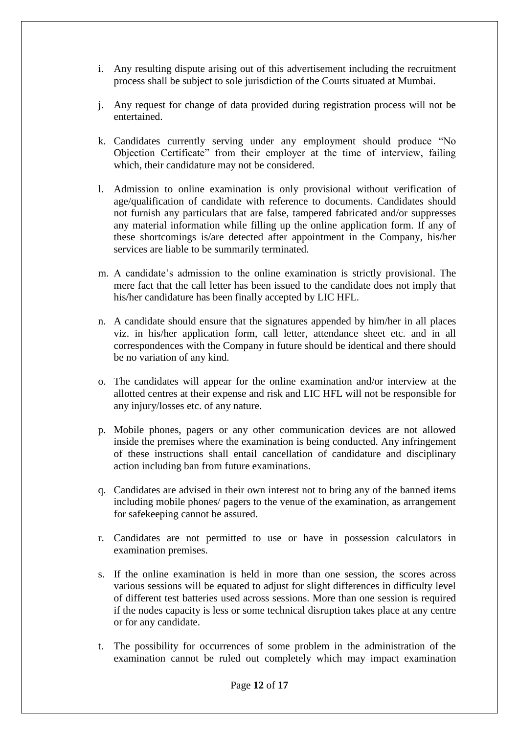- i. Any resulting dispute arising out of this advertisement including the recruitment process shall be subject to sole jurisdiction of the Courts situated at Mumbai.
- j. Any request for change of data provided during registration process will not be entertained.
- k. Candidates currently serving under any employment should produce "No Objection Certificate" from their employer at the time of interview, failing which, their candidature may not be considered.
- l. Admission to online examination is only provisional without verification of age/qualification of candidate with reference to documents. Candidates should not furnish any particulars that are false, tampered fabricated and/or suppresses any material information while filling up the online application form. If any of these shortcomings is/are detected after appointment in the Company, his/her services are liable to be summarily terminated.
- m. A candidate's admission to the online examination is strictly provisional. The mere fact that the call letter has been issued to the candidate does not imply that his/her candidature has been finally accepted by LIC HFL.
- n. A candidate should ensure that the signatures appended by him/her in all places viz. in his/her application form, call letter, attendance sheet etc. and in all correspondences with the Company in future should be identical and there should be no variation of any kind.
- o. The candidates will appear for the online examination and/or interview at the allotted centres at their expense and risk and LIC HFL will not be responsible for any injury/losses etc. of any nature.
- p. Mobile phones, pagers or any other communication devices are not allowed inside the premises where the examination is being conducted. Any infringement of these instructions shall entail cancellation of candidature and disciplinary action including ban from future examinations.
- q. Candidates are advised in their own interest not to bring any of the banned items including mobile phones/ pagers to the venue of the examination, as arrangement for safekeeping cannot be assured.
- r. Candidates are not permitted to use or have in possession calculators in examination premises.
- s. If the online examination is held in more than one session, the scores across various sessions will be equated to adjust for slight differences in difficulty level of different test batteries used across sessions. More than one session is required if the nodes capacity is less or some technical disruption takes place at any centre or for any candidate.
- t. The possibility for occurrences of some problem in the administration of the examination cannot be ruled out completely which may impact examination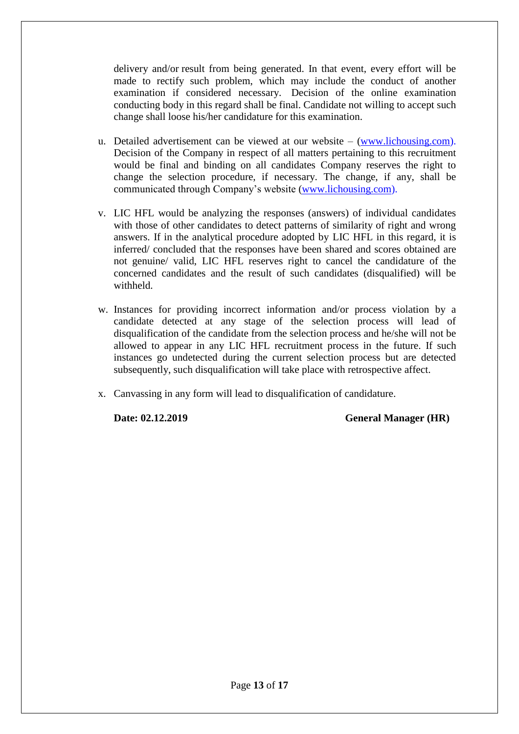delivery and/or result from being generated. In that event, every effort will be made to rectify such problem, which may include the conduct of another examination if considered necessary. Decision of the online examination conducting body in this regard shall be final. Candidate not willing to accept such change shall loose his/her candidature for this examination.

- u. Detailed advertisement can be viewed at our website [\(www.lichousing.com\)](http://www.lichousing.com/). Decision of the Company in respect of all matters pertaining to this recruitment would be final and binding on all candidates Company reserves the right to change the selection procedure, if necessary. The change, if any, shall be communicated through Company's website [\(www.lichousing.com\)](http://www.lichousing.com/).
- v. LIC HFL would be analyzing the responses (answers) of individual candidates with those of other candidates to detect patterns of similarity of right and wrong answers. If in the analytical procedure adopted by LIC HFL in this regard, it is inferred/ concluded that the responses have been shared and scores obtained are not genuine/ valid, LIC HFL reserves right to cancel the candidature of the concerned candidates and the result of such candidates (disqualified) will be withheld.
- w. Instances for providing incorrect information and/or process violation by a candidate detected at any stage of the selection process will lead of disqualification of the candidate from the selection process and he/she will not be allowed to appear in any LIC HFL recruitment process in the future. If such instances go undetected during the current selection process but are detected subsequently, such disqualification will take place with retrospective affect.
- x. Canvassing in any form will lead to disqualification of candidature.

**Date: 02.12.2019 General Manager (HR)**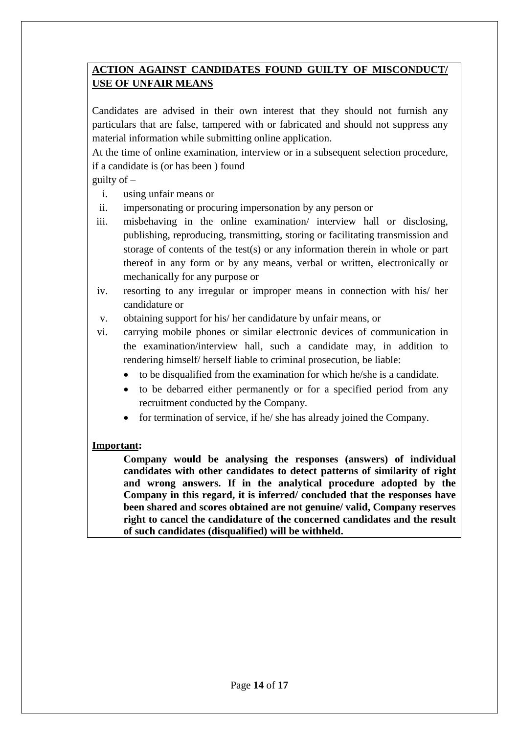# **ACTION AGAINST CANDIDATES FOUND GUILTY OF MISCONDUCT/ USE OF UNFAIR MEANS**

Candidates are advised in their own interest that they should not furnish any particulars that are false, tampered with or fabricated and should not suppress any material information while submitting online application.

At the time of online examination, interview or in a subsequent selection procedure, if a candidate is (or has been ) found

### guilty of  $-$

- i. using unfair means or
- ii. impersonating or procuring impersonation by any person or
- iii. misbehaving in the online examination/ interview hall or disclosing, publishing, reproducing, transmitting, storing or facilitating transmission and storage of contents of the test(s) or any information therein in whole or part thereof in any form or by any means, verbal or written, electronically or mechanically for any purpose or
- iv. resorting to any irregular or improper means in connection with his/ her candidature or
- v. obtaining support for his/ her candidature by unfair means, or
- vi. carrying mobile phones or similar electronic devices of communication in the examination/interview hall, such a candidate may, in addition to rendering himself/ herself liable to criminal prosecution, be liable:
	- to be disqualified from the examination for which he/she is a candidate.
	- to be debarred either permanently or for a specified period from any recruitment conducted by the Company.
	- $\bullet$  for termination of service, if he/ she has already joined the Company.

### **Important:**

**Company would be analysing the responses (answers) of individual candidates with other candidates to detect patterns of similarity of right and wrong answers. If in the analytical procedure adopted by the Company in this regard, it is inferred/ concluded that the responses have been shared and scores obtained are not genuine/ valid, Company reserves right to cancel the candidature of the concerned candidates and the result of such candidates (disqualified) will be withheld.**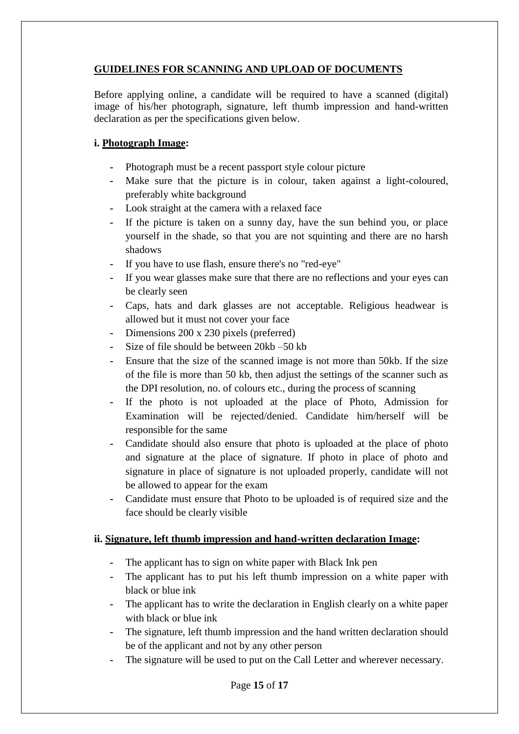# **GUIDELINES FOR SCANNING AND UPLOAD OF DOCUMENTS**

Before applying online, a candidate will be required to have a scanned (digital) image of his/her photograph, signature, left thumb impression and hand-written declaration as per the specifications given below.

### **i. Photograph Image:**

- **-** Photograph must be a recent passport style colour picture
- Make sure that the picture is in colour, taken against a light-coloured, preferably white background
- **-** Look straight at the camera with a relaxed face
- **-** If the picture is taken on a sunny day, have the sun behind you, or place yourself in the shade, so that you are not squinting and there are no harsh shadows
- **-** If you have to use flash, ensure there's no "red-eye"
- **-** If you wear glasses make sure that there are no reflections and your eyes can be clearly seen
- **-** Caps, hats and dark glasses are not acceptable. Religious headwear is allowed but it must not cover your face
- **-** Dimensions 200 x 230 pixels (preferred)
- **-** Size of file should be between 20kb –50 kb
- **-** Ensure that the size of the scanned image is not more than 50kb. If the size of the file is more than 50 kb, then adjust the settings of the scanner such as the DPI resolution, no. of colours etc., during the process of scanning
- **-** If the photo is not uploaded at the place of Photo, Admission for Examination will be rejected/denied. Candidate him/herself will be responsible for the same
- **-** Candidate should also ensure that photo is uploaded at the place of photo and signature at the place of signature. If photo in place of photo and signature in place of signature is not uploaded properly, candidate will not be allowed to appear for the exam
- **-** Candidate must ensure that Photo to be uploaded is of required size and the face should be clearly visible

### **ii. Signature, left thumb impression and hand-written declaration Image:**

- **-** The applicant has to sign on white paper with Black Ink pen
- **-** The applicant has to put his left thumb impression on a white paper with black or blue ink
- **-** The applicant has to write the declaration in English clearly on a white paper with black or blue ink
- **-** The signature, left thumb impression and the hand written declaration should be of the applicant and not by any other person
- The signature will be used to put on the Call Letter and wherever necessary.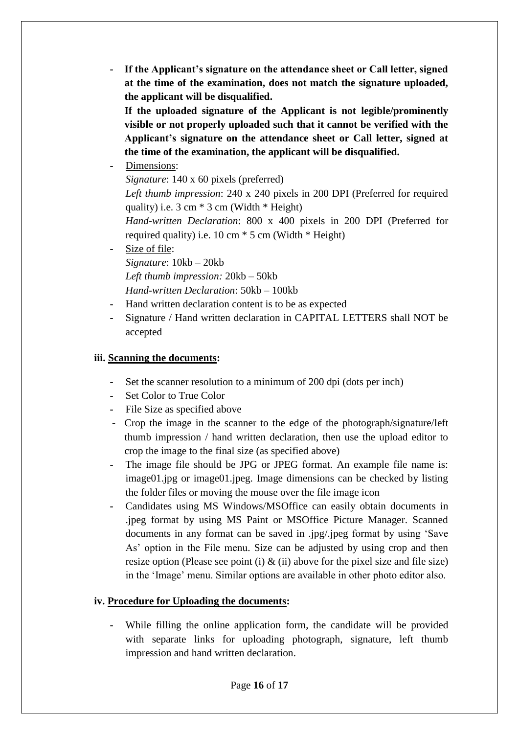**- If the Applicant's signature on the attendance sheet or Call letter, signed at the time of the examination, does not match the signature uploaded, the applicant will be disqualified.**

**If the uploaded signature of the Applicant is not legible/prominently visible or not properly uploaded such that it cannot be verified with the Applicant's signature on the attendance sheet or Call letter, signed at the time of the examination, the applicant will be disqualified.**

**-** Dimensions:

*Signature*: 140 x 60 pixels (preferred)

*Left thumb impression*: 240 x 240 pixels in 200 DPI (Preferred for required quality) i.e.  $3 \text{ cm} * 3 \text{ cm}$  (Width  $*$  Height)

*Hand-written Declaration*: 800 x 400 pixels in 200 DPI (Preferred for required quality) i.e. 10 cm \* 5 cm (Width \* Height)

**-** Size of file:

*Signature*: 10kb – 20kb *Left thumb impression:* 20kb – 50kb *Hand-written Declaration*: 50kb – 100kb

- **-** Hand written declaration content is to be as expected
- **-** Signature / Hand written declaration in CAPITAL LETTERS shall NOT be accepted

### **iii. Scanning the documents:**

- **-** Set the scanner resolution to a minimum of 200 dpi (dots per inch)
- **-** Set Color to True Color
- **-** File Size as specified above
- **-** Crop the image in the scanner to the edge of the photograph/signature/left thumb impression / hand written declaration, then use the upload editor to crop the image to the final size (as specified above)
- **-** The image file should be JPG or JPEG format. An example file name is: image01.jpg or image01.jpeg. Image dimensions can be checked by listing the folder files or moving the mouse over the file image icon
- **-** Candidates using MS Windows/MSOffice can easily obtain documents in .jpeg format by using MS Paint or MSOffice Picture Manager. Scanned documents in any format can be saved in .jpg/.jpeg format by using 'Save As' option in the File menu. Size can be adjusted by using crop and then resize option (Please see point (i)  $\&$  (ii) above for the pixel size and file size) in the 'Image' menu. Similar options are available in other photo editor also.

### **iv. Procedure for Uploading the documents:**

While filling the online application form, the candidate will be provided with separate links for uploading photograph, signature, left thumb impression and hand written declaration.